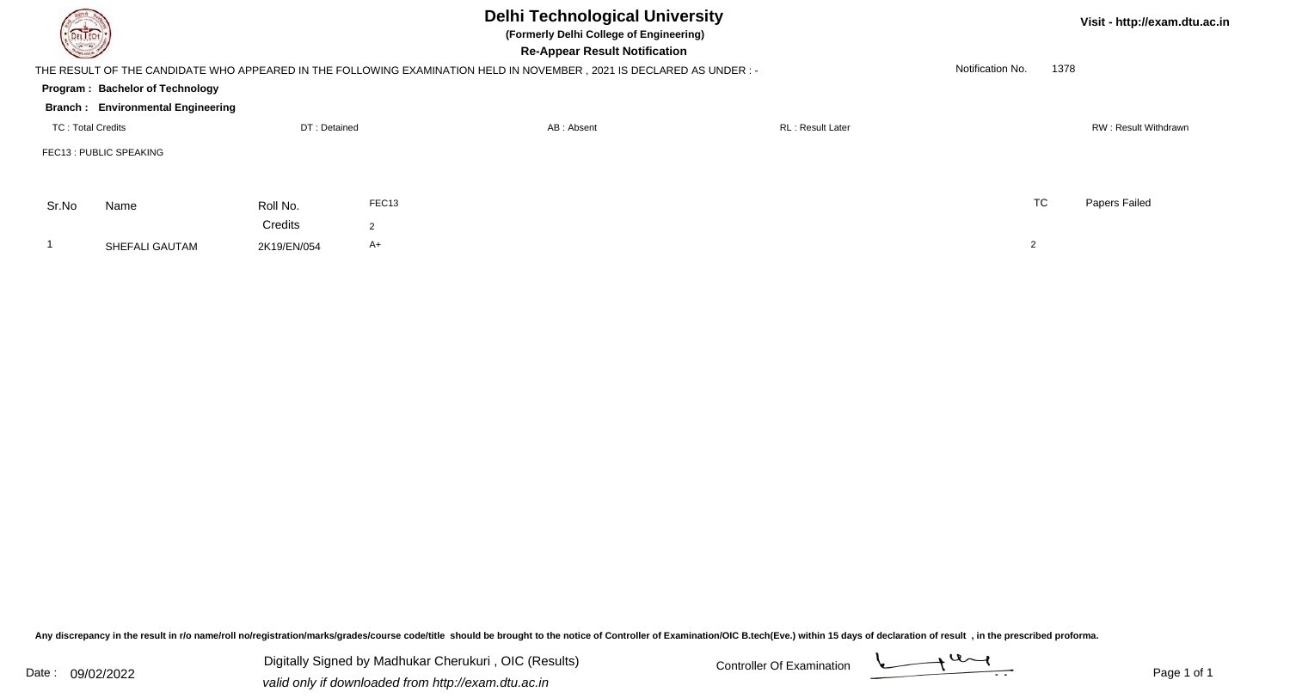| <b>DELTECH</b>    | <b>Delhi Technological University</b><br>(Formerly Delhi College of Engineering)<br><b>Re-Appear Result Notification</b> |              |                |                                                                                                                     |                          |                  |      | Visit - http://exam.dtu.ac.in |  |
|-------------------|--------------------------------------------------------------------------------------------------------------------------|--------------|----------------|---------------------------------------------------------------------------------------------------------------------|--------------------------|------------------|------|-------------------------------|--|
|                   |                                                                                                                          |              |                | THE RESULT OF THE CANDIDATE WHO APPEARED IN THE FOLLOWING EXAMINATION HELD IN NOVEMBER, 2021 IS DECLARED AS UNDER:- |                          | Notification No. | 1378 |                               |  |
|                   | Program: Bachelor of Technology                                                                                          |              |                |                                                                                                                     |                          |                  |      |                               |  |
|                   | <b>Branch: Environmental Engineering</b>                                                                                 |              |                |                                                                                                                     |                          |                  |      |                               |  |
| TC: Total Credits |                                                                                                                          | DT: Detained |                | AB: Absent                                                                                                          | <b>RL</b> : Result Later |                  |      | RW: Result Withdrawn          |  |
|                   | FEC13 : PUBLIC SPEAKING                                                                                                  |              |                |                                                                                                                     |                          |                  |      |                               |  |
| Sr.No             | Name                                                                                                                     | Roll No.     | FEC13          |                                                                                                                     |                          | <b>TC</b>        |      | Papers Failed                 |  |
|                   |                                                                                                                          | Credits      | $\overline{2}$ |                                                                                                                     |                          |                  |      |                               |  |
|                   | SHEFALI GAUTAM                                                                                                           | 2K19/EN/054  | A+             |                                                                                                                     |                          | $\overline{2}$   |      |                               |  |

Any discrepancy in the result in r/o name/roll no/registration/marks/grades/course code/title should be brought to the notice of Controller of Examination/OIC B.tech(Eve.) within 15 days of declaration of result ,in the p

Digitally Signed by Madhukar Cherukuri, OIC (Results) Controller Of Examination Controller Of Examination Digitally Signed by Madhukar Cherukuri , OIC (Results)valid only if downloaded from http://exam.dtu.ac.in

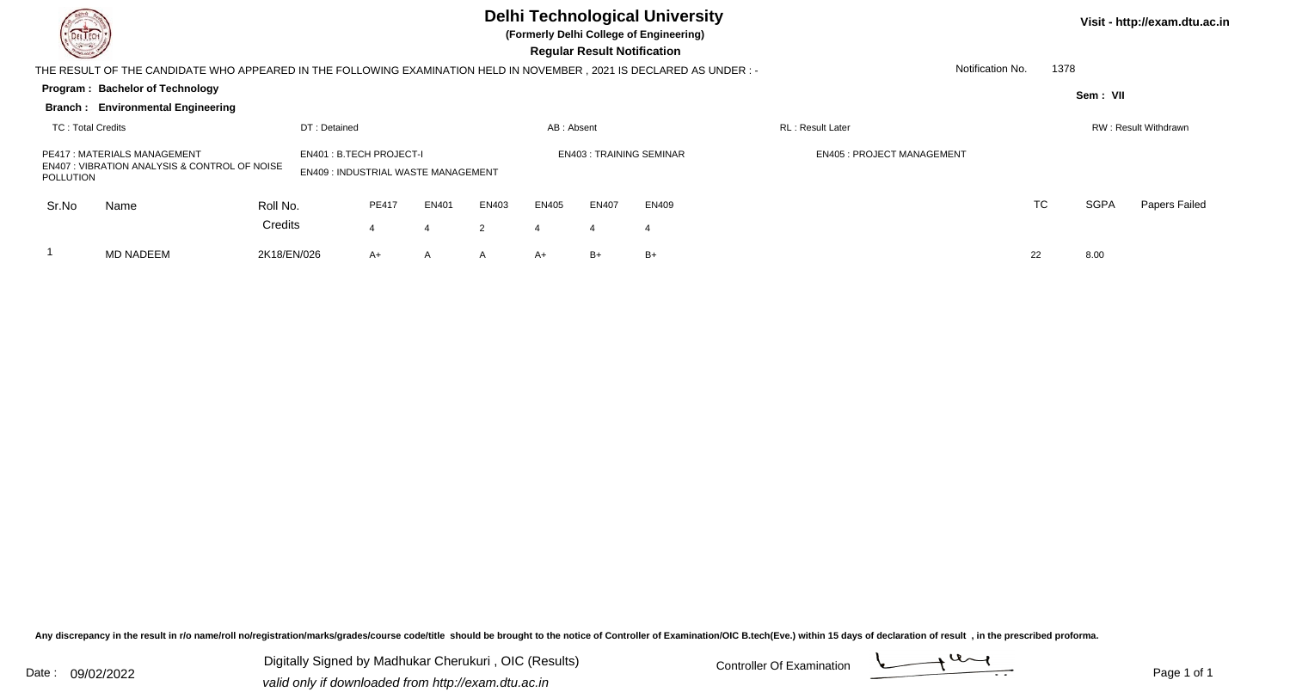## **Delhi Technological University**

**(Formerly Delhi College of Engineering)**

 **Regular Result Notification**

**Visit - http://exam.dtu.ac.in**

| $\sim$<br><b>Regular Result Nothleation</b>                                                                                             |                                          |             |                                                                             |       |       |                                |            |              |                                  |          |                          |  |    |             |                      |
|-----------------------------------------------------------------------------------------------------------------------------------------|------------------------------------------|-------------|-----------------------------------------------------------------------------|-------|-------|--------------------------------|------------|--------------|----------------------------------|----------|--------------------------|--|----|-------------|----------------------|
| Notification No.<br>THE RESULT OF THE CANDIDATE WHO APPEARED IN THE FOLLOWING EXAMINATION HELD IN NOVEMBER, 2021 IS DECLARED AS UNDER:- |                                          |             |                                                                             |       |       |                                |            |              |                                  |          | 1378                     |  |    |             |                      |
| Program: Bachelor of Technology                                                                                                         |                                          |             |                                                                             |       |       |                                |            |              |                                  | Sem: VII |                          |  |    |             |                      |
|                                                                                                                                         | <b>Branch: Environmental Engineering</b> |             |                                                                             |       |       |                                |            |              |                                  |          |                          |  |    |             |                      |
| TC: Total Credits                                                                                                                       |                                          |             | DT: Detained                                                                |       |       |                                | AB: Absent |              |                                  |          | <b>RL</b> : Result Later |  |    |             | RW: Result Withdrawn |
| <b>PE417: MATERIALS MANAGEMENT</b><br><b>EN407: VIBRATION ANALYSIS &amp; CONTROL OF NOISE</b><br>POLLUTION                              |                                          |             | <b>EN401: B.TECH PROJECT-I</b><br><b>EN409: INDUSTRIAL WASTE MANAGEMENT</b> |       |       | <b>EN403: TRAINING SEMINAR</b> |            |              | <b>EN405: PROJECT MANAGEMENT</b> |          |                          |  |    |             |                      |
| Sr.No                                                                                                                                   | Name                                     | Roll No.    |                                                                             | PE417 | EN401 | EN403                          | EN405      | <b>EN407</b> | EN409                            |          |                          |  | TC | <b>SGPA</b> | Papers Failed        |
|                                                                                                                                         |                                          | Credits     |                                                                             | 4     | 4     | 2                              | 4          | 4            | -4                               |          |                          |  |    |             |                      |
|                                                                                                                                         | <b>MD NADEEM</b>                         | 2K18/EN/026 |                                                                             | $A+$  | A     | $\mathsf{A}$                   | A+         | $B+$         | B+                               |          |                          |  | 22 | 8.00        |                      |
|                                                                                                                                         |                                          |             |                                                                             |       |       |                                |            |              |                                  |          |                          |  |    |             |                      |

Any discrepancy in the result in r/o name/roll no/registration/marks/grades/course code/title should be brought to the notice of Controller of Examination/OIC B.tech(Eve.) within 15 days of declaration of result , in the p

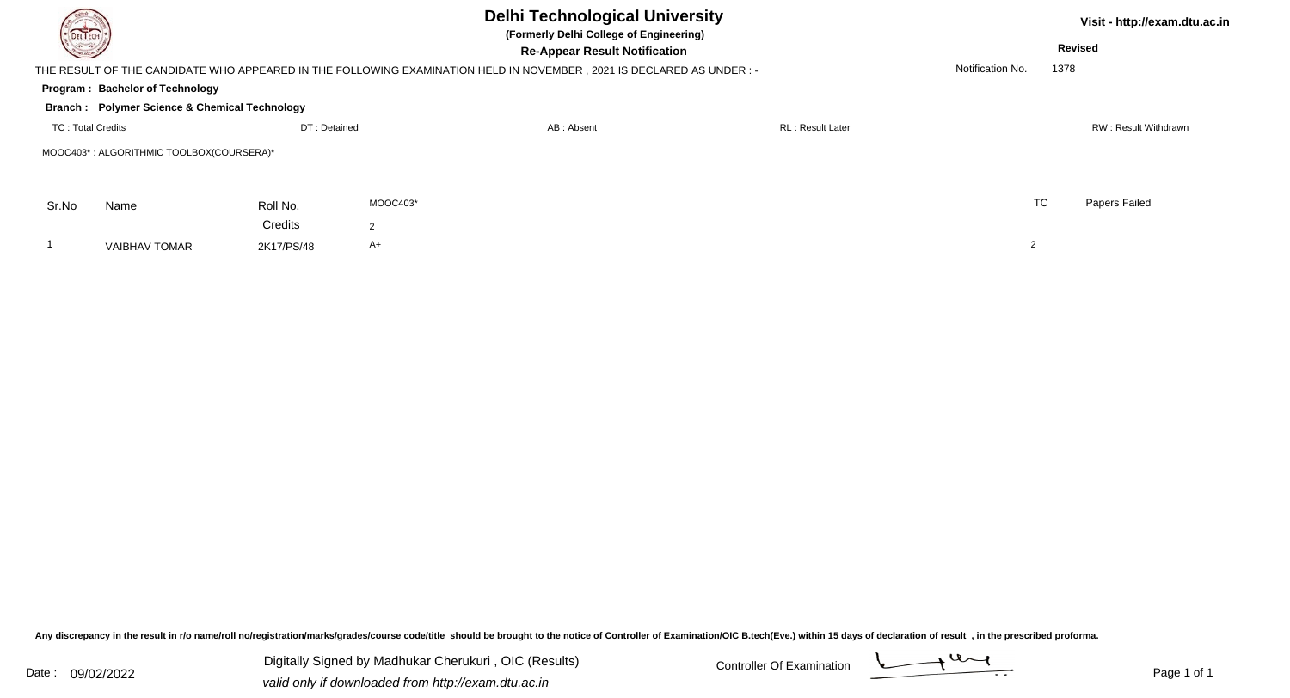|                                            | <b>Delhi Technological University</b><br>DELTECH<br>(Formerly Delhi College of Engineering) |              |                |                                                                                                                     |                  |                  | Visit - http://exam.dtu.ac.in |               |  |  |  |  |
|--------------------------------------------|---------------------------------------------------------------------------------------------|--------------|----------------|---------------------------------------------------------------------------------------------------------------------|------------------|------------------|-------------------------------|---------------|--|--|--|--|
| $\frac{1}{2} \left( \frac{1}{2} \right)^2$ |                                                                                             |              |                | <b>Re-Appear Result Notification</b>                                                                                |                  | <b>Revised</b>   |                               |               |  |  |  |  |
|                                            |                                                                                             |              |                | THE RESULT OF THE CANDIDATE WHO APPEARED IN THE FOLLOWING EXAMINATION HELD IN NOVEMBER, 2021 IS DECLARED AS UNDER:- |                  | Notification No. | 1378                          |               |  |  |  |  |
|                                            | Program: Bachelor of Technology                                                             |              |                |                                                                                                                     |                  |                  |                               |               |  |  |  |  |
|                                            | <b>Branch : Polymer Science &amp; Chemical Technology</b>                                   |              |                |                                                                                                                     |                  |                  |                               |               |  |  |  |  |
| <b>TC: Total Credits</b>                   |                                                                                             | DT: Detained |                | AB: Absent                                                                                                          | RL: Result Later |                  | RW: Result Withdrawn          |               |  |  |  |  |
|                                            | MOOC403*: ALGORITHMIC TOOLBOX(COURSERA)*                                                    |              |                |                                                                                                                     |                  |                  |                               |               |  |  |  |  |
| Sr.No                                      | Name                                                                                        | Roll No.     | MOOC403*       |                                                                                                                     |                  | <b>TC</b>        |                               | Papers Failed |  |  |  |  |
|                                            |                                                                                             | Credits      | $\overline{2}$ |                                                                                                                     |                  |                  |                               |               |  |  |  |  |
|                                            | <b>VAIBHAV TOMAR</b>                                                                        | 2K17/PS/48   | A+             |                                                                                                                     |                  | ∠                |                               |               |  |  |  |  |
|                                            |                                                                                             |              |                |                                                                                                                     |                  |                  |                               |               |  |  |  |  |

Any discrepancy in the result in r/o name/roll no/registration/marks/grades/course code/title should be brought to the notice of Controller of Examination/OIC B.tech(Eve.) within 15 days of declaration of result ,in the p